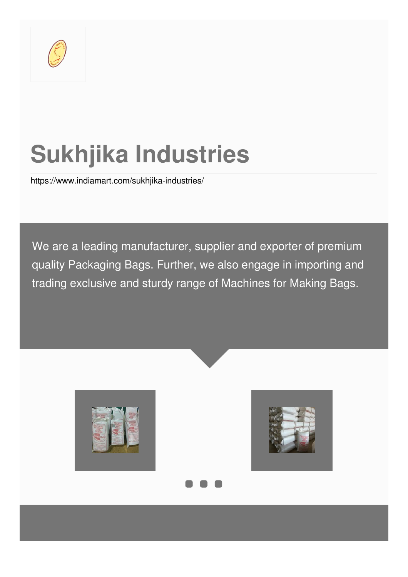

# **Sukhjika Industries**

<https://www.indiamart.com/sukhjika-industries/>

We are a leading manufacturer, supplier and exporter of premium quality Packaging Bags. Further, we also engage in importing and trading exclusive and sturdy range of Machines for Making Bags.





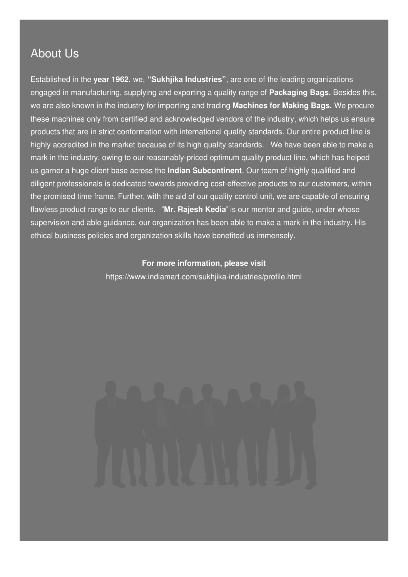### About Us

Established in the **year 1962**, we, **"Sukhjika Industries"**, are one of the leading organizations engaged in manufacturing, supplying and exporting a quality range of **Packaging Bags.** Besides this, we are also known in the industry for importing and trading **Machines for Making Bags.** We procure these machines only from certified and acknowledged vendors of the industry, which helps us ensure products that are in strict conformation with international quality standards. Our entire product line is highly accredited in the market because of its high quality standards. We have been able to make a mark in the industry, owing to our reasonably-priced optimum quality product line, which has helped us garner a huge client base across the **Indian Subcontinent**. Our team of highly qualified and diligent professionals is dedicated towards providing cost-effective products to our customers, within the promised time frame. Further, with the aid of our quality control unit, we are capable of ensuring flawless product range to our clients. **'Mr. Rajesh Kedia'** is our mentor and guide, under whose supervision and able guidance, our organization has been able to make a mark in the industry. His ethical business policies and organization skills have benefited us immensely.

#### **For more information, please visit**

<https://www.indiamart.com/sukhjika-industries/profile.html>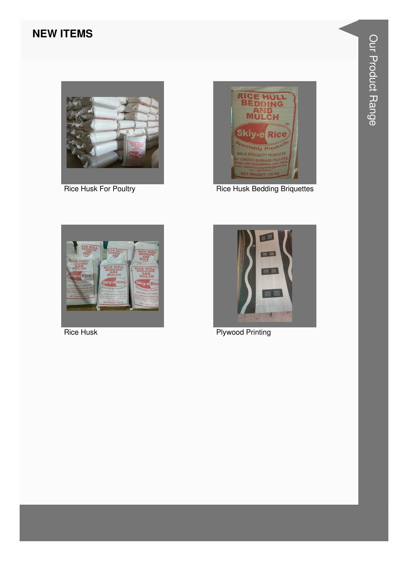#### **NEW ITEMS**



**Rice Husk For Poultry** 



**Rice Husk Bedding Briquettes** 



**Rice Husk** 



**Plywood Printing**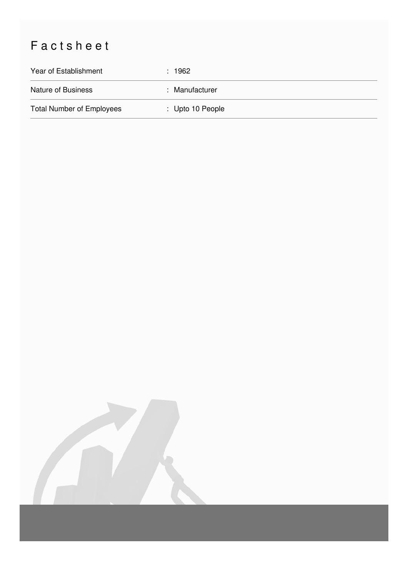## Factsheet

| Year of Establishment            | : 1962           |
|----------------------------------|------------------|
| Nature of Business               | : Manufacturer   |
| <b>Total Number of Employees</b> | : Upto 10 People |